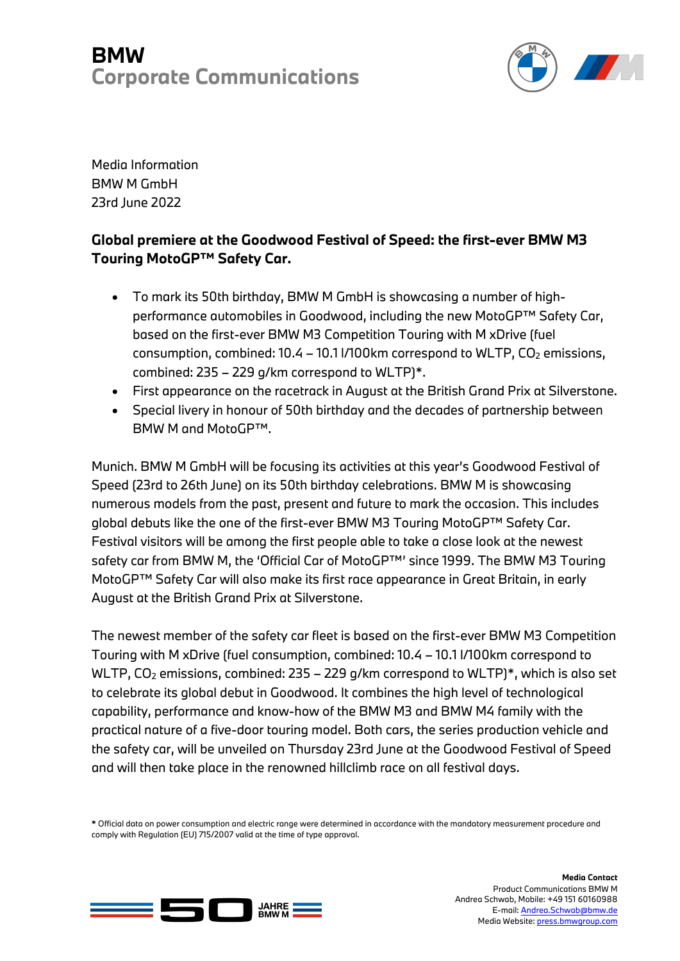## **BMW Corporate Communications**



Media Information BMW M GmbH 23rd June 2022

## **Global premiere at the Goodwood Festival of Speed: the first-ever BMW M3 Touring MotoGP™ Safety Car.**

- To mark its 50th birthday, BMW M GmbH is showcasing a number of highperformance automobiles in Goodwood, including the new MotoGP™ Safety Car, based on the first-ever BMW M3 Competition Touring with M xDrive (fuel consumption, combined:  $10.4 - 10.1$  I/100km correspond to WLTP,  $CO<sub>2</sub>$  emissions, combined: 235 – 229 g/km correspond to WLTP)\*.
- First appearance on the racetrack in August at the British Grand Prix at Silverstone.
- Special livery in honour of 50th birthday and the decades of partnership between BMW M and MotoGP™.

Munich. BMW M GmbH will be focusing its activities at this year's Goodwood Festival of Speed (23rd to 26th June) on its 50th birthday celebrations. BMW M is showcasing numerous models from the past, present and future to mark the occasion. This includes global debuts like the one of the first-ever BMW M3 Touring MotoGP™ Safety Car. Festival visitors will be among the first people able to take a close look at the newest safety car from BMW M, the 'Official Car of MotoGP™' since 1999. The BMW M3 Touring MotoGP™ Safety Car will also make its first race appearance in Great Britain, in early August at the British Grand Prix at Silverstone.

The newest member of the safety car fleet is based on the first-ever BMW M3 Competition Touring with M xDrive (fuel consumption, combined: 10.4 – 10.1 l/100km correspond to WLTP,  $CO<sub>2</sub>$  emissions, combined: 235 – 229 g/km correspond to WLTP)\*, which is also set to celebrate its global debut in Goodwood. It combines the high level of technological capability, performance and know-how of the BMW M3 and BMW M4 family with the practical nature of a five-door touring model. Both cars, the series production vehicle and the safety car, will be unveiled on Thursday 23rd June at the Goodwood Festival of Speed and will then take place in the renowned hillclimb race on all festival days.

**\*** Official data on power consumption and electric range were determined in accordance with the mandatory measurement procedure and comply with Regulation (EU) 715/2007 valid at the time of type approval.



**Media Contact** Product Communications BMW M Andrea Schwab, Mobile: +49 151 60160988 E-mail: Andrea.Schwab@bmw.de Media Website: press.bmwgroup.com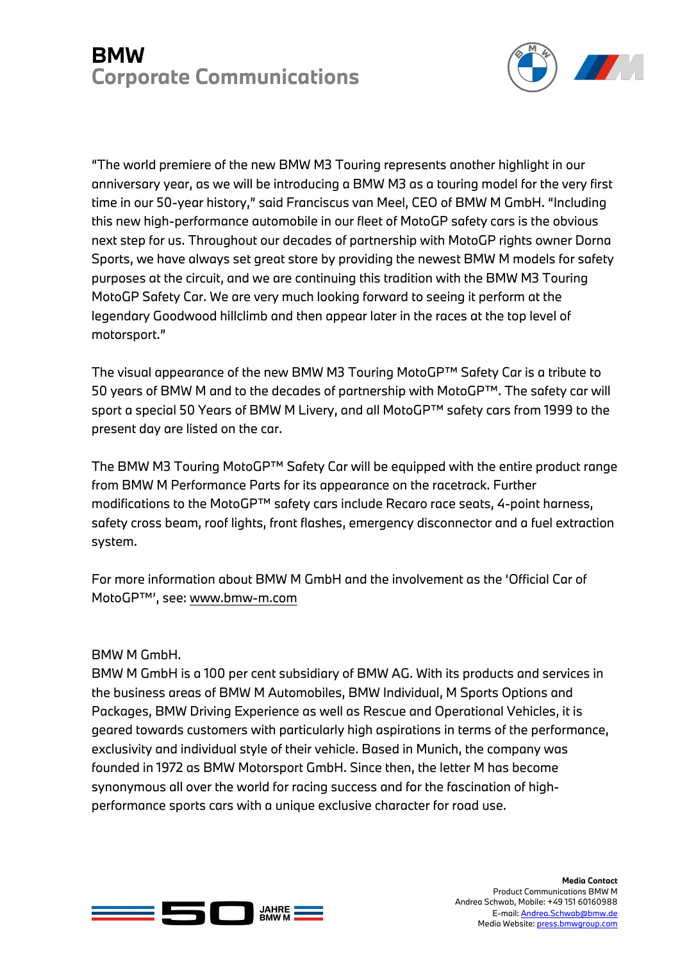## **BMW Corporate Communications**



"The world premiere of the new BMW M3 Touring represents another highlight in our anniversary year, as we will be introducing a BMW M3 as a touring model for the very first time in our 50-year history," said Franciscus van Meel, CEO of BMW M GmbH. "Including this new high-performance automobile in our fleet of MotoGP safety cars is the obvious next step for us. Throughout our decades of partnership with MotoGP rights owner Dorna Sports, we have always set great store by providing the newest BMW M models for safety purposes at the circuit, and we are continuing this tradition with the BMW M3 Touring MotoGP Safety Car. We are very much looking forward to seeing it perform at the legendary Goodwood hillclimb and then appear later in the races at the top level of motorsport."

The visual appearance of the new BMW M3 Touring MotoGP™ Safety Car is a tribute to 50 years of BMW M and to the decades of partnership with MotoGP™. The safety car will sport a special 50 Years of BMW M Livery, and all MotoGP™ safety cars from 1999 to the present day are listed on the car.

The BMW M3 Touring MotoGP™ Safety Car will be equipped with the entire product range from BMW M Performance Parts for its appearance on the racetrack. Further modifications to the MotoGP™ safety cars include Recaro race seats, 4-point harness, safety cross beam, roof lights, front flashes, emergency disconnector and a fuel extraction system.

For more information about BMW M GmbH and the involvement as the 'Official Car of MotoGP™', see: www.bmw-m.com

BMW M GmbH.

BMW M GmbH is a 100 per cent subsidiary of BMW AG. With its products and services in the business areas of BMW M Automobiles, BMW Individual, M Sports Options and Packages, BMW Driving Experience as well as Rescue and Operational Vehicles, it is geared towards customers with particularly high aspirations in terms of the performance, exclusivity and individual style of their vehicle. Based in Munich, the company was founded in 1972 as BMW Motorsport GmbH. Since then, the letter M has become synonymous all over the world for racing success and for the fascination of highperformance sports cars with a unique exclusive character for road use.



**Media Contact** Product Communications BMW M Andrea Schwab, Mobile: +49 151 60160988 E-mail: Andrea.Schwab@bmw.de Media Website: press.bmwgroup.com